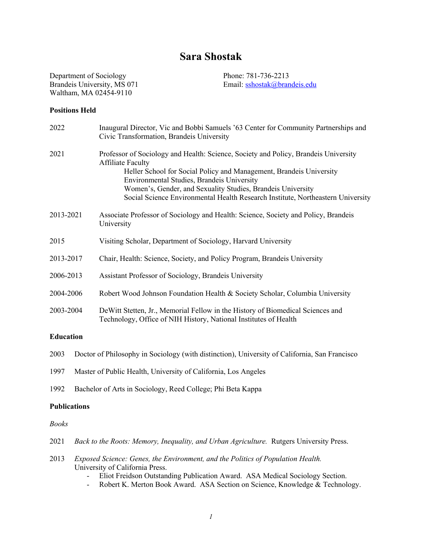# **Sara Shostak**

Department of Sociology Phone: 781-736-2213 Brandeis University, MS 071 Email: sshostak@brandeis.edu Waltham, MA 02454-9110

# **Positions Held**

| 2022             | Inaugural Director, Vic and Bobbi Samuels '63 Center for Community Partnerships and<br>Civic Transformation, Brandeis University                                                                                                                                                                                                                                                       |
|------------------|----------------------------------------------------------------------------------------------------------------------------------------------------------------------------------------------------------------------------------------------------------------------------------------------------------------------------------------------------------------------------------------|
| 2021             | Professor of Sociology and Health: Science, Society and Policy, Brandeis University<br><b>Affiliate Faculty</b><br>Heller School for Social Policy and Management, Brandeis University<br>Environmental Studies, Brandeis University<br>Women's, Gender, and Sexuality Studies, Brandeis University<br>Social Science Environmental Health Research Institute, Northeastern University |
| 2013-2021        | Associate Professor of Sociology and Health: Science, Society and Policy, Brandeis<br>University                                                                                                                                                                                                                                                                                       |
| 2015             | Visiting Scholar, Department of Sociology, Harvard University                                                                                                                                                                                                                                                                                                                          |
| 2013-2017        | Chair, Health: Science, Society, and Policy Program, Brandeis University                                                                                                                                                                                                                                                                                                               |
| 2006-2013        | Assistant Professor of Sociology, Brandeis University                                                                                                                                                                                                                                                                                                                                  |
| 2004-2006        | Robert Wood Johnson Foundation Health & Society Scholar, Columbia University                                                                                                                                                                                                                                                                                                           |
| 2003-2004        | De Witt Stetten, Jr., Memorial Fellow in the History of Biomedical Sciences and<br>Technology, Office of NIH History, National Institutes of Health                                                                                                                                                                                                                                    |
| <b>Education</b> |                                                                                                                                                                                                                                                                                                                                                                                        |
| 2003             | Doctor of Philosophy in Sociology (with distinction), University of California, San Francisco                                                                                                                                                                                                                                                                                          |

- 1997 Master of Public Health, University of California, Los Angeles
- 1992 Bachelor of Arts in Sociology, Reed College; Phi Beta Kappa

### **Publications**

# *Books*

- 2021 *Back to the Roots: Memory, Inequality, and Urban Agriculture.* Rutgers University Press.
- 2013 *Exposed Science: Genes, the Environment, and the Politics of Population Health.*  University of California Press.
	- Eliot Freidson Outstanding Publication Award. ASA Medical Sociology Section.
	- Robert K. Merton Book Award. ASA Section on Science, Knowledge & Technology.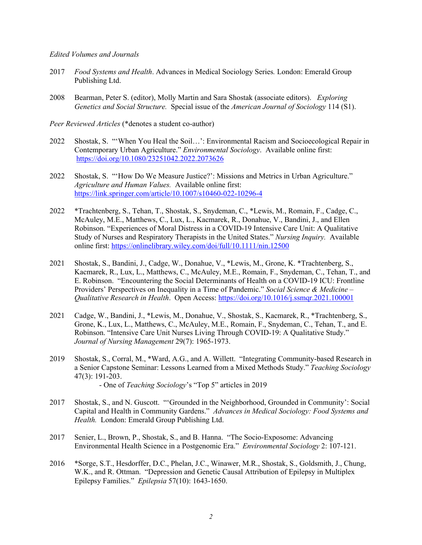#### *Edited Volumes and Journals*

- 2017 *Food Systems and Health*. Advances in Medical Sociology Series*.* London: Emerald Group Publishing Ltd.
- 2008 Bearman, Peter S. (editor), Molly Martin and Sara Shostak (associate editors). *Exploring Genetics and Social Structure.* Special issue of the *American Journal of Sociology* 114 (S1).

*Peer Reviewed Articles* (\*denotes a student co-author)

- 2022 Shostak, S. "'When You Heal the Soil…': Environmental Racism and Socioecological Repair in Contemporary Urban Agriculture." *Environmental Sociology*. Available online first: https://doi.org/10.1080/23251042.2022.2073626
- 2022 Shostak, S. "'How Do We Measure Justice?': Missions and Metrics in Urban Agriculture." *Agriculture and Human Values.* Available online first: https://link.springer.com/article/10.1007/s10460-022-10296-4
- 2022 \*Trachtenberg, S., Tehan, T., Shostak, S., Snydeman, C., \*Lewis, M., Romain, F., Cadge, C., McAuley, M.E., Matthews, C., Lux, L., Kacmarek, R., Donahue, V., Bandini, J., and Ellen Robinson. "Experiences of Moral Distress in a COVID-19 Intensive Care Unit: A Qualitative Study of Nurses and Respiratory Therapists in the United States." *Nursing Inquiry.* Available online first: https://onlinelibrary.wiley.com/doi/full/10.1111/nin.12500
- 2021 Shostak, S., Bandini, J., Cadge, W., Donahue, V., \*Lewis, M., Grone, K. \*Trachtenberg, S., Kacmarek, R., Lux, L., Matthews, C., McAuley, M.E., Romain, F., Snydeman, C., Tehan, T., and E. Robinson. "Encountering the Social Determinants of Health on a COVID-19 ICU: Frontline Providers' Perspectives on Inequality in a Time of Pandemic." *Social Science & Medicine – Qualitative Research in Health*. Open Access: https://doi.org/10.1016/j.ssmqr.2021.100001
- 2021 Cadge, W., Bandini, J., \*Lewis, M., Donahue, V., Shostak, S., Kacmarek, R., \*Trachtenberg, S., Grone, K., Lux, L., Matthews, C., McAuley, M.E., Romain, F., Snydeman, C., Tehan, T., and E. Robinson. "Intensive Care Unit Nurses Living Through COVID-19: A Qualitative Study." *Journal of Nursing Management* 29(7): 1965-1973.
- 2019 Shostak, S., Corral, M., \*Ward, A.G., and A. Willett. "Integrating Community-based Research in a Senior Capstone Seminar: Lessons Learned from a Mixed Methods Study." *Teaching Sociology* 47(3): 191-203. - One of *Teaching Sociology*'s "Top 5" articles in 2019
- 2017 Shostak, S., and N. Guscott. "'Grounded in the Neighborhood, Grounded in Community': Social
- Capital and Health in Community Gardens." *Advances in Medical Sociology: Food Systems and Health.* London: Emerald Group Publishing Ltd.
- 2017 Senier, L., Brown, P., Shostak, S., and B. Hanna. "The Socio-Exposome: Advancing Environmental Health Science in a Postgenomic Era." *Environmental Sociology* 2: 107-121.
- 2016 \*Sorge, S.T., Hesdorffer, D.C., Phelan, J.C., Winawer, M.R., Shostak, S., Goldsmith, J., Chung, W.K., and R. Ottman. "Depression and Genetic Causal Attribution of Epilepsy in Multiplex Epilepsy Families." *Epilepsia* 57(10): 1643-1650.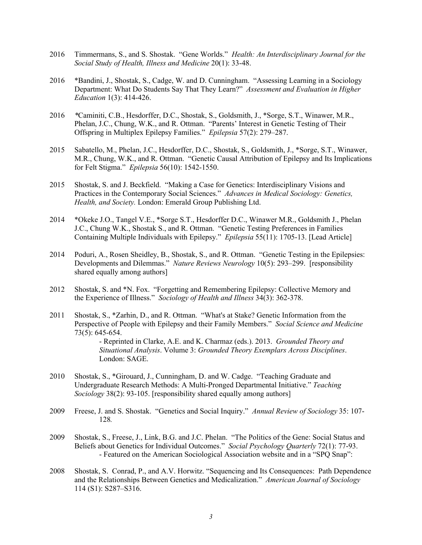- 2016 Timmermans, S., and S. Shostak. "Gene Worlds." *Health: An Interdisciplinary Journal for the Social Study of Health, Illness and Medicine* 20(1): 33-48.
- 2016 \*Bandini, J., Shostak, S., Cadge, W. and D. Cunningham. "Assessing Learning in a Sociology Department: What Do Students Say That They Learn?" *Assessment and Evaluation in Higher Education* 1(3): 414-426.
- 2016 *\**Caminiti, C.B., Hesdorffer, D.C., Shostak, S., Goldsmith, J., \*Sorge, S.T., Winawer, M.R., Phelan, J.C., Chung, W.K., and R. Ottman. "Parents' Interest in Genetic Testing of Their Offspring in Multiplex Epilepsy Families." *Epilepsia* 57(2): 279–287.
- 2015 Sabatello, M., Phelan, J.C., Hesdorffer, D.C., Shostak, S., Goldsmith, J., \*Sorge, S.T., Winawer, M.R., Chung, W.K., and R. Ottman. "Genetic Causal Attribution of Epilepsy and Its Implications for Felt Stigma." *Epilepsia* 56(10): 1542-1550.
- 2015 Shostak, S. and J. Beckfield. "Making a Case for Genetics: Interdisciplinary Visions and Practices in the Contemporary Social Sciences." *Advances in Medical Sociology: Genetics, Health, and Society.* London: Emerald Group Publishing Ltd.
- 2014 \*Okeke J.O., Tangel V.E., \*Sorge S.T., Hesdorffer D.C., Winawer M.R., Goldsmith J., Phelan J.C., Chung W.K., Shostak S., and R. Ottman. "Genetic Testing Preferences in Families Containing Multiple Individuals with Epilepsy." *Epilepsia* 55(11): 1705-13. [Lead Article]
- 2014 Poduri, A., Rosen Sheidley, B., Shostak, S., and R. Ottman. "Genetic Testing in the Epilepsies: Developments and Dilemmas." *Nature Reviews Neurology* 10(5): 293–299. [responsibility shared equally among authors]
- 2012 Shostak, S. and \*N. Fox. "Forgetting and Remembering Epilepsy: Collective Memory and the Experience of Illness." *Sociology of Health and Illness* 34(3): 362-378.
- 2011 Shostak, S., \*Zarhin, D., and R. Ottman. "What's at Stake? Genetic Information from the Perspective of People with Epilepsy and their Family Members." *Social Science and Medicine* 73(5): 645-654.

- Reprinted in Clarke, A.E. and K. Charmaz (eds.). 2013. *Grounded Theory and Situational Analysis*. Volume 3: *Grounded Theory Exemplars Across Disciplines*. London: SAGE.

- 2010 Shostak, S., \*Girouard, J., Cunningham, D. and W. Cadge. "Teaching Graduate and Undergraduate Research Methods: A Multi-Pronged Departmental Initiative." *Teaching Sociology* 38(2): 93-105. [responsibility shared equally among authors]
- 2009 Freese, J. and S. Shostak. "Genetics and Social Inquiry." *Annual Review of Sociology* 35: 107- 128*.*
- 2009 Shostak, S., Freese, J., Link, B.G. and J.C. Phelan. "The Politics of the Gene: Social Status and Beliefs about Genetics for Individual Outcomes." *Social Psychology Quarterly* 72(1): 77-93. - Featured on the American Sociological Association website and in a "SPQ Snap":
- 2008 Shostak, S. Conrad, P., and A.V. Horwitz. "Sequencing and Its Consequences: Path Dependence and the Relationships Between Genetics and Medicalization." *American Journal of Sociology* 114 (S1): S287–S316.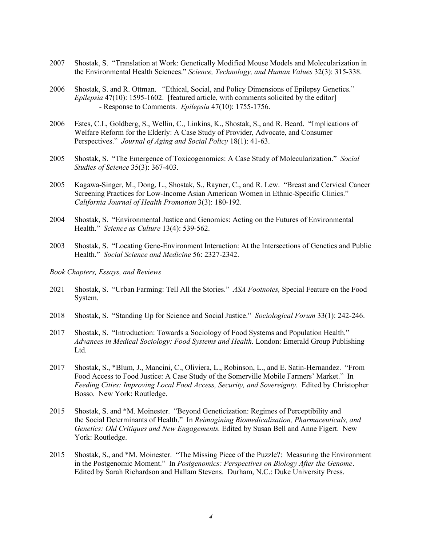- 2007 Shostak, S. "Translation at Work: Genetically Modified Mouse Models and Molecularization in the Environmental Health Sciences." *Science, Technology, and Human Values* 32(3): 315-338.
- 2006 Shostak, S. and R. Ottman. "Ethical, Social, and Policy Dimensions of Epilepsy Genetics." *Epilepsia* 47(10): 1595-1602. [featured article, with comments solicited by the editor] - Response to Comments. *Epilepsia* 47(10): 1755-1756.
- 2006 Estes, C.L, Goldberg, S., Wellin, C., Linkins, K., Shostak, S., and R. Beard. "Implications of Welfare Reform for the Elderly: A Case Study of Provider, Advocate, and Consumer Perspectives." *Journal of Aging and Social Policy* 18(1): 41-63.
- 2005 Shostak, S. "The Emergence of Toxicogenomics: A Case Study of Molecularization." *Social Studies of Science* 35(3): 367-403.
- 2005 Kagawa-Singer, M., Dong, L., Shostak, S., Rayner, C., and R. Lew. "Breast and Cervical Cancer Screening Practices for Low-Income Asian American Women in Ethnic-Specific Clinics." *California Journal of Health Promotion* 3(3): 180-192.
- 2004 Shostak, S. "Environmental Justice and Genomics: Acting on the Futures of Environmental Health." *Science as Culture* 13(4): 539-562.
- 2003 Shostak, S. "Locating Gene-Environment Interaction: At the Intersections of Genetics and Public Health." *Social Science and Medicine* 56: 2327-2342.
- *Book Chapters, Essays, and Reviews*
- 2021 Shostak, S. "Urban Farming: Tell All the Stories." *ASA Footnotes,* Special Feature on the Food System.
- 2018 Shostak, S. "Standing Up for Science and Social Justice." *Sociological Forum* 33(1): 242-246.
- 2017 Shostak, S. "Introduction: Towards a Sociology of Food Systems and Population Health." *Advances in Medical Sociology: Food Systems and Health.* London: Emerald Group Publishing Ltd.
- 2017 Shostak, S., \*Blum, J., Mancini, C., Oliviera, L., Robinson, L., and E. Satin-Hernandez. "From Food Access to Food Justice: A Case Study of the Somerville Mobile Farmers' Market." In *Feeding Cities: Improving Local Food Access, Security, and Sovereignty.* Edited by Christopher Bosso. New York: Routledge.
- 2015 Shostak, S. and \*M. Moinester. "Beyond Geneticization: Regimes of Perceptibility and the Social Determinants of Health." In *Reimagining Biomedicalization, Pharmaceuticals, and Genetics: Old Critiques and New Engagements.* Edited by Susan Bell and Anne Figert. New York: Routledge.
- 2015 Shostak, S., and \*M. Moinester. "The Missing Piece of the Puzzle?: Measuring the Environment in the Postgenomic Moment." In *Postgenomics: Perspectives on Biology After the Genome*. Edited by Sarah Richardson and Hallam Stevens. Durham, N.C.: Duke University Press.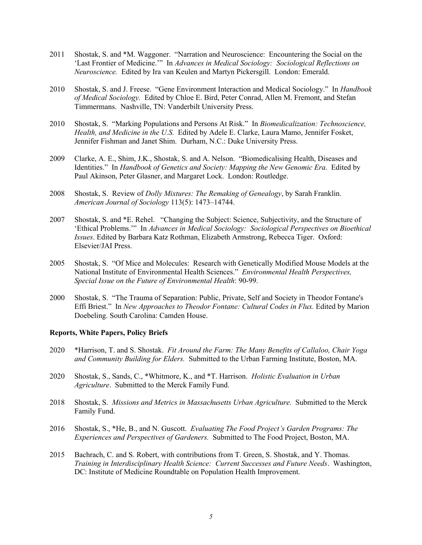- 2011 Shostak, S. and \*M. Waggoner. "Narration and Neuroscience: Encountering the Social on the 'Last Frontier of Medicine.'" In *Advances in Medical Sociology: Sociological Reflections on Neuroscience.* Edited by Ira van Keulen and Martyn Pickersgill. London: Emerald.
- 2010 Shostak, S. and J. Freese. "Gene Environment Interaction and Medical Sociology." In *Handbook of Medical Sociology.* Edited by Chloe E. Bird, Peter Conrad, Allen M. Fremont, and Stefan Timmermans. Nashville, TN: Vanderbilt University Press.
- 2010 Shostak, S. "Marking Populations and Persons At Risk." In *Biomedicalization: Technoscience, Health, and Medicine in the U.S.* Edited by Adele E. Clarke, Laura Mamo, Jennifer Fosket, Jennifer Fishman and Janet Shim. Durham, N.C.: Duke University Press.
- 2009 Clarke, A. E., Shim, J.K., Shostak, S. and A. Nelson. "Biomedicalising Health, Diseases and Identities." In *Handbook of Genetics and Society: Mapping the New Genomic Era*. Edited by Paul Akinson, Peter Glasner, and Margaret Lock. London: Routledge.
- 2008 Shostak, S. Review of *Dolly Mixtures: The Remaking of Genealogy*, by Sarah Franklin. *American Journal of Sociology* 113(5): 1473–14744.
- 2007 Shostak, S. and \*E. Rehel. "Changing the Subject: Science, Subjectivity, and the Structure of 'Ethical Problems.'" In *Advances in Medical Sociology: Sociological Perspectives on Bioethical Issues*. Edited by Barbara Katz Rothman, Elizabeth Armstrong, Rebecca Tiger. Oxford: Elsevier/JAI Press.
- 2005 Shostak, S. "Of Mice and Molecules: Research with Genetically Modified Mouse Models at the National Institute of Environmental Health Sciences." *Environmental Health Perspectives, Special Issue on the Future of Environmental Health*: 90-99.
- 2000 Shostak, S. "The Trauma of Separation: Public, Private, Self and Society in Theodor Fontane's Effi Briest." In *New Approaches to Theodor Fontane: Cultural Codes in Flux.* Edited by Marion Doebeling. South Carolina: Camden House.

# **Reports, White Papers, Policy Briefs**

- 2020 \*Harrison, T. and S. Shostak. *Fit Around the Farm: The Many Benefits of Callaloo, Chair Yoga and Community Building for Elders.* Submitted to the Urban Farming Institute, Boston, MA.
- 2020 Shostak, S., Sands, C., \*Whitmore, K., and \*T. Harrison. *Holistic Evaluation in Urban Agriculture*. Submitted to the Merck Family Fund.
- 2018 Shostak, S. *Missions and Metrics in Massachusetts Urban Agriculture.* Submitted to the Merck Family Fund.
- 2016 Shostak, S., \*He, B., and N. Guscott. *Evaluating The Food Project's Garden Programs: The Experiences and Perspectives of Gardeners.* Submitted to The Food Project, Boston, MA.
- 2015 Bachrach, C. and S. Robert, with contributions from T. Green, S. Shostak, and Y. Thomas. *Training in Interdisciplinary Health Science: Current Successes and Future Needs*. Washington, DC: Institute of Medicine Roundtable on Population Health Improvement.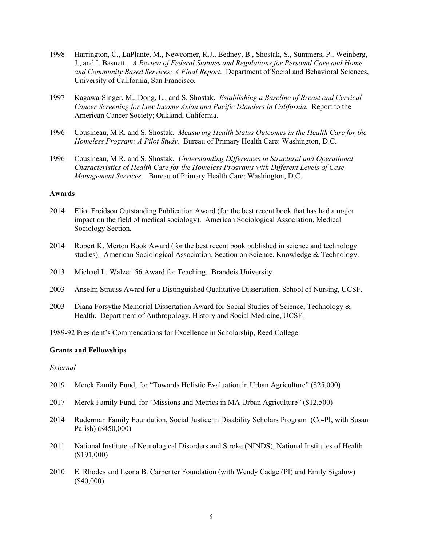- 1998 Harrington, C., LaPlante, M., Newcomer, R.J., Bedney, B., Shostak, S., Summers, P., Weinberg, J., and I. Basnett. *A Review of Federal Statutes and Regulations for Personal Care and Home and Community Based Services: A Final Report*. Department of Social and Behavioral Sciences, University of California, San Francisco.
- 1997 Kagawa-Singer, M., Dong, L., and S. Shostak. *Establishing a Baseline of Breast and Cervical Cancer Screening for Low Income Asian and Pacific Islanders in California.* Report to the American Cancer Society; Oakland, California.
- 1996 Cousineau, M.R. and S. Shostak. *Measuring Health Status Outcomes in the Health Care for the Homeless Program: A Pilot Study.* Bureau of Primary Health Care: Washington, D.C.
- 1996 Cousineau, M.R. and S. Shostak. *Understanding Differences in Structural and Operational Characteristics of Health Care for the Homeless Programs with Different Levels of Case Management Services.* Bureau of Primary Health Care: Washington, D.C.

# **Awards**

- 2014 Eliot Freidson Outstanding Publication Award (for the best recent book that has had a major impact on the field of medical sociology). American Sociological Association, Medical Sociology Section.
- 2014 Robert K. Merton Book Award (for the best recent book published in science and technology studies). American Sociological Association, Section on Science, Knowledge & Technology.
- 2013 Michael L. Walzer '56 Award for Teaching. Brandeis University.
- 2003 Anselm Strauss Award for a Distinguished Qualitative Dissertation. School of Nursing, UCSF.
- 2003 Diana Forsythe Memorial Dissertation Award for Social Studies of Science, Technology & Health. Department of Anthropology, History and Social Medicine, UCSF.
- 1989-92 President's Commendations for Excellence in Scholarship, Reed College.

### **Grants and Fellowships**

## *External*

- 2019 Merck Family Fund, for "Towards Holistic Evaluation in Urban Agriculture" (\$25,000)
- 2017 Merck Family Fund, for "Missions and Metrics in MA Urban Agriculture" (\$12,500)
- 2014 Ruderman Family Foundation, Social Justice in Disability Scholars Program (Co-PI, with Susan Parish) (\$450,000)
- 2011 National Institute of Neurological Disorders and Stroke (NINDS), National Institutes of Health (\$191,000)
- 2010 E. Rhodes and Leona B. Carpenter Foundation (with Wendy Cadge (PI) and Emily Sigalow) (\$40,000)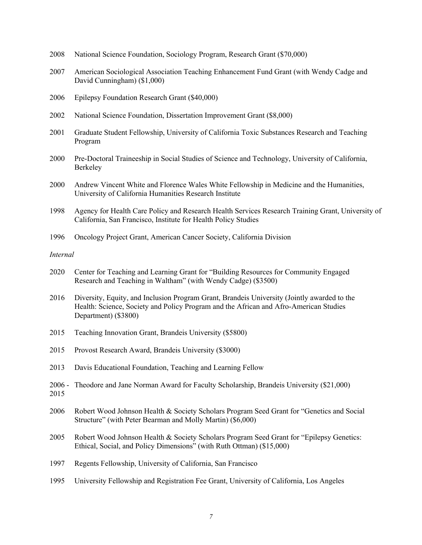- 2008 National Science Foundation, Sociology Program, Research Grant (\$70,000)
- 2007 American Sociological Association Teaching Enhancement Fund Grant (with Wendy Cadge and David Cunningham) (\$1,000)
- 2006 Epilepsy Foundation Research Grant (\$40,000)
- 2002 National Science Foundation, Dissertation Improvement Grant (\$8,000)
- 2001 Graduate Student Fellowship, University of California Toxic Substances Research and Teaching Program
- 2000 Pre-Doctoral Traineeship in Social Studies of Science and Technology, University of California, Berkeley
- 2000 Andrew Vincent White and Florence Wales White Fellowship in Medicine and the Humanities, University of California Humanities Research Institute
- 1998 Agency for Health Care Policy and Research Health Services Research Training Grant, University of California, San Francisco, Institute for Health Policy Studies
- 1996 Oncology Project Grant, American Cancer Society, California Division

# *Internal*

- 2020 Center for Teaching and Learning Grant for "Building Resources for Community Engaged Research and Teaching in Waltham" (with Wendy Cadge) (\$3500)
- 2016 Diversity, Equity, and Inclusion Program Grant, Brandeis University (Jointly awarded to the Health: Science, Society and Policy Program and the African and Afro-American Studies Department) (\$3800)
- 2015 Teaching Innovation Grant, Brandeis University (\$5800)
- 2015 Provost Research Award, Brandeis University (\$3000)
- 2013 Davis Educational Foundation, Teaching and Learning Fellow
- 2006 Theodore and Jane Norman Award for Faculty Scholarship, Brandeis University (\$21,000) 2015
- 2006 Robert Wood Johnson Health & Society Scholars Program Seed Grant for "Genetics and Social Structure" (with Peter Bearman and Molly Martin) (\$6,000)
- 2005 Robert Wood Johnson Health & Society Scholars Program Seed Grant for "Epilepsy Genetics: Ethical, Social, and Policy Dimensions" (with Ruth Ottman) (\$15,000)
- 1997 Regents Fellowship, University of California, San Francisco
- 1995 University Fellowship and Registration Fee Grant, University of California, Los Angeles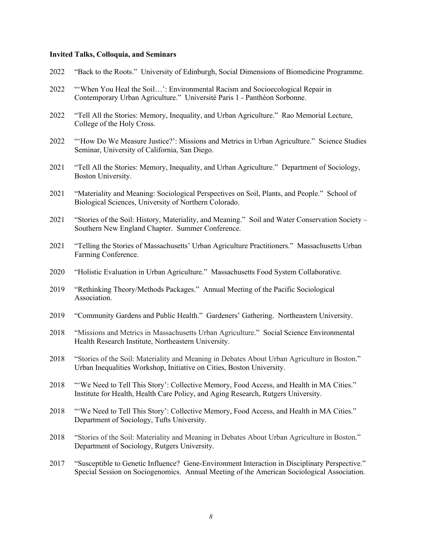#### **Invited Talks, Colloquia, and Seminars**

- 2022 "Back to the Roots." University of Edinburgh, Social Dimensions of Biomedicine Programme.
- 2022 "'When You Heal the Soil…': Environmental Racism and Socioecological Repair in Contemporary Urban Agriculture." Université Paris 1 - Panthéon Sorbonne.
- 2022 "Tell All the Stories: Memory, Inequality, and Urban Agriculture." Rao Memorial Lecture, College of the Holy Cross.
- 2022 "'How Do We Measure Justice?': Missions and Metrics in Urban Agriculture." Science Studies Seminar, University of California, San Diego.
- 2021 "Tell All the Stories: Memory, Inequality, and Urban Agriculture." Department of Sociology, Boston University.
- 2021 "Materiality and Meaning: Sociological Perspectives on Soil, Plants, and People." School of Biological Sciences, University of Northern Colorado.
- 2021 "Stories of the Soil: History, Materiality, and Meaning." Soil and Water Conservation Society Southern New England Chapter. Summer Conference.
- 2021 "Telling the Stories of Massachusetts' Urban Agriculture Practitioners." Massachusetts Urban Farming Conference.
- 2020 "Holistic Evaluation in Urban Agriculture." Massachusetts Food System Collaborative.
- 2019 "Rethinking Theory/Methods Packages." Annual Meeting of the Pacific Sociological Association.
- 2019 "Community Gardens and Public Health." Gardeners' Gathering. Northeastern University.
- 2018 "Missions and Metrics in Massachusetts Urban Agriculture." Social Science Environmental Health Research Institute, Northeastern University.
- 2018 "Stories of the Soil: Materiality and Meaning in Debates About Urban Agriculture in Boston." Urban Inequalities Workshop, Initiative on Cities, Boston University.
- 2018 "'We Need to Tell This Story': Collective Memory, Food Access, and Health in MA Cities." Institute for Health, Health Care Policy, and Aging Research, Rutgers University.
- 2018 "'We Need to Tell This Story': Collective Memory, Food Access, and Health in MA Cities." Department of Sociology, Tufts University.
- 2018 "Stories of the Soil: Materiality and Meaning in Debates About Urban Agriculture in Boston." Department of Sociology, Rutgers University.
- 2017 "Susceptible to Genetic Influence? Gene-Environment Interaction in Disciplinary Perspective." Special Session on Sociogenomics. Annual Meeting of the American Sociological Association.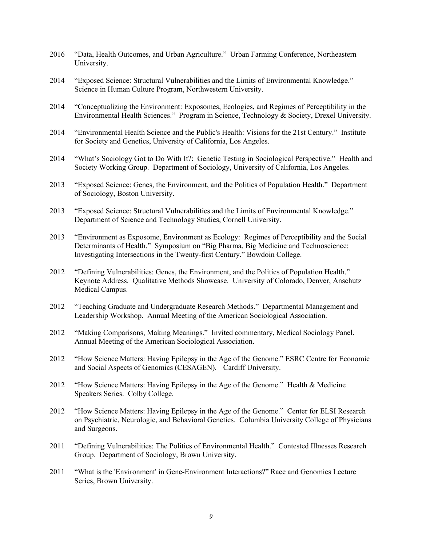- 2016 "Data, Health Outcomes, and Urban Agriculture." Urban Farming Conference, Northeastern University.
- 2014 "Exposed Science: Structural Vulnerabilities and the Limits of Environmental Knowledge." Science in Human Culture Program, Northwestern University.
- 2014 "Conceptualizing the Environment: Exposomes, Ecologies, and Regimes of Perceptibility in the Environmental Health Sciences." Program in Science, Technology & Society, Drexel University.
- 2014 "Environmental Health Science and the Public's Health: Visions for the 21st Century." Institute for Society and Genetics, University of California, Los Angeles.
- 2014 "What's Sociology Got to Do With It?: Genetic Testing in Sociological Perspective." Health and Society Working Group. Department of Sociology, University of California, Los Angeles.
- 2013 "Exposed Science: Genes, the Environment, and the Politics of Population Health." Department of Sociology, Boston University.
- 2013 "Exposed Science: Structural Vulnerabilities and the Limits of Environmental Knowledge." Department of Science and Technology Studies, Cornell University.
- 2013 "Environment as Exposome, Environment as Ecology: Regimes of Perceptibility and the Social Determinants of Health." Symposium on "Big Pharma, Big Medicine and Technoscience: Investigating Intersections in the Twenty-first Century." Bowdoin College.
- 2012 "Defining Vulnerabilities: Genes, the Environment, and the Politics of Population Health." Keynote Address. Qualitative Methods Showcase. University of Colorado, Denver, Anschutz Medical Campus.
- 2012 "Teaching Graduate and Undergraduate Research Methods." Departmental Management and Leadership Workshop. Annual Meeting of the American Sociological Association.
- 2012 "Making Comparisons, Making Meanings." Invited commentary, Medical Sociology Panel. Annual Meeting of the American Sociological Association.
- 2012 "How Science Matters: Having Epilepsy in the Age of the Genome." ESRC Centre for Economic and Social Aspects of Genomics (CESAGEN). Cardiff University.
- 2012 "How Science Matters: Having Epilepsy in the Age of the Genome." Health & Medicine Speakers Series. Colby College.
- 2012 "How Science Matters: Having Epilepsy in the Age of the Genome." Center for ELSI Research on Psychiatric, Neurologic, and Behavioral Genetics. Columbia University College of Physicians and Surgeons.
- 2011 "Defining Vulnerabilities: The Politics of Environmental Health." Contested Illnesses Research Group. Department of Sociology, Brown University.
- 2011 "What is the 'Environment' in Gene-Environment Interactions?" Race and Genomics Lecture Series, Brown University.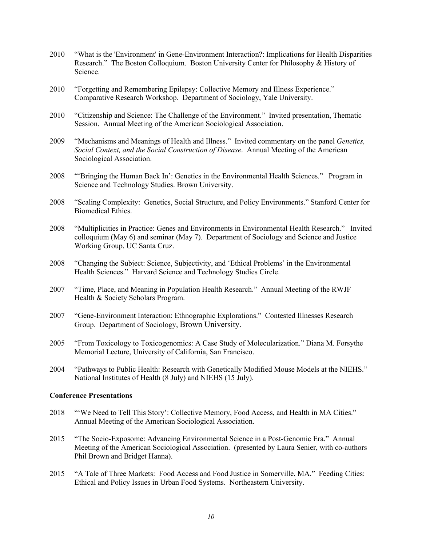- 2010 "What is the 'Environment' in Gene-Environment Interaction?: Implications for Health Disparities Research." The Boston Colloquium. Boston University Center for Philosophy & History of Science.
- 2010 "Forgetting and Remembering Epilepsy: Collective Memory and Illness Experience." Comparative Research Workshop. Department of Sociology, Yale University.
- 2010 "Citizenship and Science: The Challenge of the Environment." Invited presentation, Thematic Session. Annual Meeting of the American Sociological Association.
- 2009 "Mechanisms and Meanings of Health and Illness." Invited commentary on the panel *Genetics, Social Context, and the Social Construction of Disease*. Annual Meeting of the American Sociological Association.
- 2008 "'Bringing the Human Back In': Genetics in the Environmental Health Sciences." Program in Science and Technology Studies. Brown University.
- 2008 "Scaling Complexity: Genetics, Social Structure, and Policy Environments." Stanford Center for Biomedical Ethics.
- 2008 "Multiplicities in Practice: Genes and Environments in Environmental Health Research." Invited colloquium (May 6) and seminar (May 7). Department of Sociology and Science and Justice Working Group, UC Santa Cruz.
- 2008 "Changing the Subject: Science, Subjectivity, and 'Ethical Problems' in the Environmental Health Sciences." Harvard Science and Technology Studies Circle.
- 2007 "Time, Place, and Meaning in Population Health Research." Annual Meeting of the RWJF Health & Society Scholars Program.
- 2007 "Gene-Environment Interaction: Ethnographic Explorations." Contested Illnesses Research Group. Department of Sociology, Brown University.
- 2005 "From Toxicology to Toxicogenomics: A Case Study of Molecularization." Diana M. Forsythe Memorial Lecture, University of California, San Francisco.
- 2004 "Pathways to Public Health: Research with Genetically Modified Mouse Models at the NIEHS." National Institutes of Health (8 July) and NIEHS (15 July).

# **Conference Presentations**

- 2018 "'We Need to Tell This Story': Collective Memory, Food Access, and Health in MA Cities." Annual Meeting of the American Sociological Association.
- 2015 "The Socio-Exposome: Advancing Environmental Science in a Post-Genomic Era." Annual Meeting of the American Sociological Association. (presented by Laura Senier, with co-authors Phil Brown and Bridget Hanna).
- 2015 "A Tale of Three Markets: Food Access and Food Justice in Somerville, MA." Feeding Cities: Ethical and Policy Issues in Urban Food Systems. Northeastern University.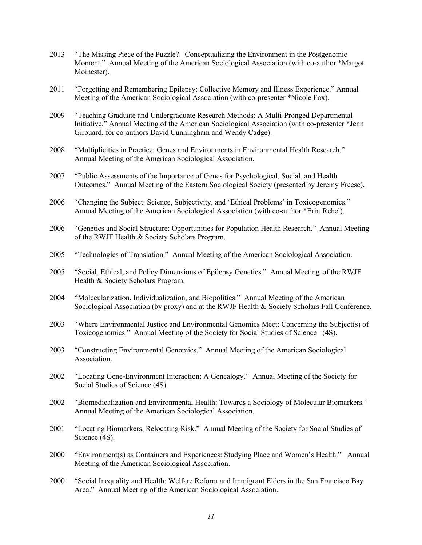- 2013 "The Missing Piece of the Puzzle?: Conceptualizing the Environment in the Postgenomic Moment." Annual Meeting of the American Sociological Association (with co-author \*Margot Moinester).
- 2011 "Forgetting and Remembering Epilepsy: Collective Memory and Illness Experience." Annual Meeting of the American Sociological Association (with co-presenter \*Nicole Fox).
- 2009 "Teaching Graduate and Undergraduate Research Methods: A Multi-Pronged Departmental Initiative." Annual Meeting of the American Sociological Association (with co-presenter \*Jenn Girouard, for co-authors David Cunningham and Wendy Cadge).
- 2008 "Multiplicities in Practice: Genes and Environments in Environmental Health Research." Annual Meeting of the American Sociological Association.
- 2007 "Public Assessments of the Importance of Genes for Psychological, Social, and Health Outcomes." Annual Meeting of the Eastern Sociological Society (presented by Jeremy Freese).
- 2006 "Changing the Subject: Science, Subjectivity, and 'Ethical Problems' in Toxicogenomics." Annual Meeting of the American Sociological Association (with co-author \*Erin Rehel).
- 2006 "Genetics and Social Structure: Opportunities for Population Health Research." Annual Meeting of the RWJF Health & Society Scholars Program.
- 2005 "Technologies of Translation." Annual Meeting of the American Sociological Association.
- 2005 "Social, Ethical, and Policy Dimensions of Epilepsy Genetics." Annual Meeting of the RWJF Health & Society Scholars Program.
- 2004 "Molecularization, Individualization, and Biopolitics." Annual Meeting of the American Sociological Association (by proxy) and at the RWJF Health & Society Scholars Fall Conference.
- 2003 "Where Environmental Justice and Environmental Genomics Meet: Concerning the Subject(s) of Toxicogenomics." Annual Meeting of the Society for Social Studies of Science (4S).
- 2003 "Constructing Environmental Genomics." Annual Meeting of the American Sociological Association.
- 2002 "Locating Gene-Environment Interaction: A Genealogy." Annual Meeting of the Society for Social Studies of Science (4S).
- 2002 "Biomedicalization and Environmental Health: Towards a Sociology of Molecular Biomarkers." Annual Meeting of the American Sociological Association.
- 2001 "Locating Biomarkers, Relocating Risk." Annual Meeting of the Society for Social Studies of Science (4S).
- 2000 "Environment(s) as Containers and Experiences: Studying Place and Women's Health." Annual Meeting of the American Sociological Association.
- 2000 "Social Inequality and Health: Welfare Reform and Immigrant Elders in the San Francisco Bay Area." Annual Meeting of the American Sociological Association.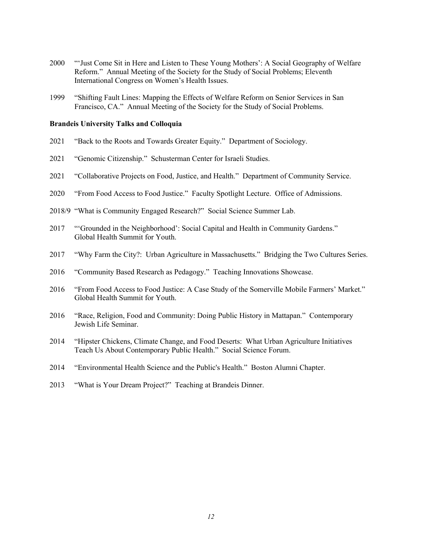- "'Just Come Sit in Here and Listen to These Young Mothers': A Social Geography of Welfare Reform." Annual Meeting of the Society for the Study of Social Problems; Eleventh International Congress on Women's Health Issues.
- "Shifting Fault Lines: Mapping the Effects of Welfare Reform on Senior Services in San Francisco, CA." Annual Meeting of the Society for the Study of Social Problems.

#### **Brandeis University Talks and Colloquia**

- "Back to the Roots and Towards Greater Equity." Department of Sociology.
- "Genomic Citizenship." Schusterman Center for Israeli Studies.
- "Collaborative Projects on Food, Justice, and Health." Department of Community Service.
- "From Food Access to Food Justice." Faculty Spotlight Lecture. Office of Admissions.
- 2018/9 "What is Community Engaged Research?" Social Science Summer Lab.
- "'Grounded in the Neighborhood': Social Capital and Health in Community Gardens." Global Health Summit for Youth.
- "Why Farm the City?: Urban Agriculture in Massachusetts." Bridging the Two Cultures Series.
- "Community Based Research as Pedagogy." Teaching Innovations Showcase.
- "From Food Access to Food Justice: A Case Study of the Somerville Mobile Farmers' Market." Global Health Summit for Youth.
- "Race, Religion, Food and Community: Doing Public History in Mattapan." Contemporary Jewish Life Seminar.
- "Hipster Chickens, Climate Change, and Food Deserts: What Urban Agriculture Initiatives Teach Us About Contemporary Public Health." Social Science Forum.
- "Environmental Health Science and the Public's Health." Boston Alumni Chapter.
- "What is Your Dream Project?" Teaching at Brandeis Dinner.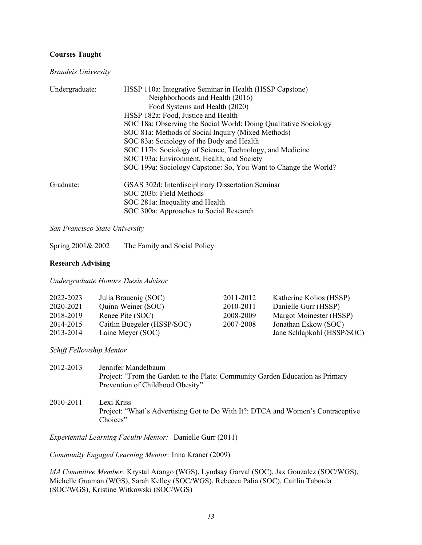# **Courses Taught**

*Brandeis University*

| Undergraduate: | HSSP 110a: Integrative Seminar in Health (HSSP Capstone)         |
|----------------|------------------------------------------------------------------|
|                | Neighborhoods and Health (2016)                                  |
|                | Food Systems and Health (2020)                                   |
|                | HSSP 182a: Food, Justice and Health                              |
|                | SOC 18a: Observing the Social World: Doing Qualitative Sociology |
|                | SOC 81a: Methods of Social Inquiry (Mixed Methods)               |
|                | SOC 83a: Sociology of the Body and Health                        |
|                | SOC 117b: Sociology of Science, Technology, and Medicine         |
|                | SOC 193a: Environment, Health, and Society                       |
|                | SOC 199a: Sociology Capstone: So, You Want to Change the World?  |
| Graduate:      | GSAS 302d: Interdisciplinary Dissertation Seminar                |
|                | SOC 203b: Field Methods                                          |
|                | SOC 281a: Inequality and Health                                  |
|                | SOC 300a: Approaches to Social Research                          |

*San Francisco State University*

Spring 2001& 2002 The Family and Social Policy

# **Research Advising**

*Undergraduate Honors Thesis Advisor*

| 2022-2023 | Julia Brauenig (SOC)        | 2011-2012 | Katherine Kolios (HSSP)    |
|-----------|-----------------------------|-----------|----------------------------|
| 2020-2021 | Quinn Weiner (SOC)          | 2010-2011 | Danielle Gurr (HSSP)       |
| 2018-2019 | Renee Pite (SOC)            | 2008-2009 | Margot Moinester (HSSP)    |
| 2014-2015 | Caitlin Buegeler (HSSP/SOC) | 2007-2008 | Jonathan Eskow (SOC)       |
| 2013-2014 | Laine Meyer (SOC)           |           | Jane Schlapkohl (HSSP/SOC) |

*Schiff Fellowship Mentor*

| 2012-2013 | Jennifer Mandelbaum<br>Project: "From the Garden to the Plate: Community Garden Education as Primary<br>Prevention of Childhood Obesity" |
|-----------|------------------------------------------------------------------------------------------------------------------------------------------|
| 2010-2011 | Lexi Kriss<br>Project: "What's Advertising Got to Do With It?: DTCA and Women's Contraceptive<br>Choices"                                |

*Experiential Learning Faculty Mentor:* Danielle Gurr (2011)

*Community Engaged Learning Mentor:* Inna Kraner (2009)

*MA Committee Member:* Krystal Arango (WGS), Lyndsay Garval (SOC), Jax Gonzalez (SOC/WGS), Michelle Guaman (WGS), Sarah Kelley (SOC/WGS), Rebecca Palia (SOC), Caitlin Taborda (SOC/WGS), Kristine Witkowski (SOC/WGS)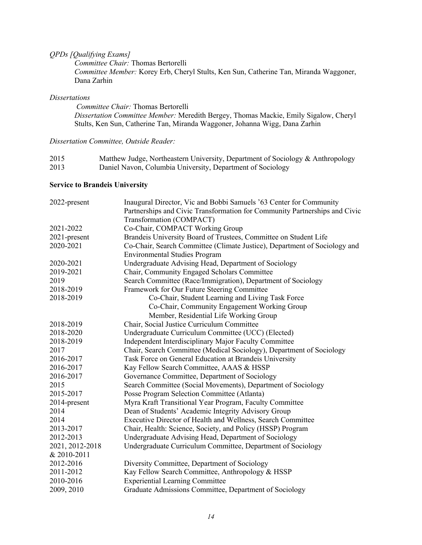# *QPDs [Qualifying Exams]*

*Committee Chair:* Thomas Bertorelli *Committee Member:* Korey Erb, Cheryl Stults, Ken Sun, Catherine Tan, Miranda Waggoner, Dana Zarhin

### *Dissertations*

*Committee Chair:* Thomas Bertorelli *Dissertation Committee Member:* Meredith Bergey, Thomas Mackie, Emily Sigalow, Cheryl Stults, Ken Sun, Catherine Tan, Miranda Waggoner, Johanna Wigg, Dana Zarhin

# *Dissertation Committee, Outside Reader:*

| 2015 | Matthew Judge, Northeastern University, Department of Sociology & Anthropology |
|------|--------------------------------------------------------------------------------|
| 2013 | Daniel Navon, Columbia University, Department of Sociology                     |

# **Service to Brandeis University**

| 2022-present    | Inaugural Director, Vic and Bobbi Samuels '63 Center for Community         |
|-----------------|----------------------------------------------------------------------------|
|                 | Partnerships and Civic Transformation for Community Partnerships and Civic |
|                 | Transformation (COMPACT)                                                   |
| 2021-2022       | Co-Chair, COMPACT Working Group                                            |
| 2021-present    | Brandeis University Board of Trustees, Committee on Student Life           |
| 2020-2021       | Co-Chair, Search Committee (Climate Justice), Department of Sociology and  |
|                 | <b>Environmental Studies Program</b>                                       |
| 2020-2021       | Undergraduate Advising Head, Department of Sociology                       |
| 2019-2021       | Chair, Community Engaged Scholars Committee                                |
| 2019            | Search Committee (Race/Immigration), Department of Sociology               |
| 2018-2019       | Framework for Our Future Steering Committee                                |
| 2018-2019       | Co-Chair, Student Learning and Living Task Force                           |
|                 | Co-Chair, Community Engagement Working Group                               |
|                 | Member, Residential Life Working Group                                     |
| 2018-2019       | Chair, Social Justice Curriculum Committee                                 |
| 2018-2020       | Undergraduate Curriculum Committee (UCC) (Elected)                         |
| 2018-2019       | Independent Interdisciplinary Major Faculty Committee                      |
| 2017            | Chair, Search Committee (Medical Sociology), Department of Sociology       |
| 2016-2017       | Task Force on General Education at Brandeis University                     |
| 2016-2017       | Kay Fellow Search Committee, AAAS & HSSP                                   |
| 2016-2017       | Governance Committee, Department of Sociology                              |
| 2015            | Search Committee (Social Movements), Department of Sociology               |
| 2015-2017       | Posse Program Selection Committee (Atlanta)                                |
| 2014-present    | Myra Kraft Transitional Year Program, Faculty Committee                    |
| 2014            | Dean of Students' Academic Integrity Advisory Group                        |
| 2014            | Executive Director of Health and Wellness, Search Committee                |
| 2013-2017       | Chair, Health: Science, Society, and Policy (HSSP) Program                 |
| 2012-2013       | Undergraduate Advising Head, Department of Sociology                       |
| 2021, 2012-2018 | Undergraduate Curriculum Committee, Department of Sociology                |
| & 2010-2011     |                                                                            |
| 2012-2016       | Diversity Committee, Department of Sociology                               |
| 2011-2012       | Kay Fellow Search Committee, Anthropology & HSSP                           |
| 2010-2016       | <b>Experiential Learning Committee</b>                                     |
| 2009, 2010      | Graduate Admissions Committee, Department of Sociology                     |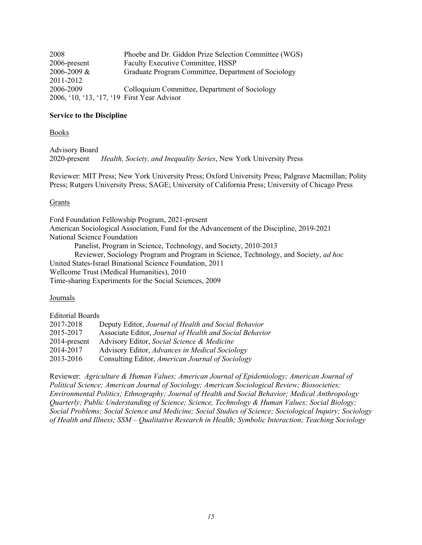| 2008                                        | Phoebe and Dr. Giddon Prize Selection Committee (WGS) |
|---------------------------------------------|-------------------------------------------------------|
| 2006-present                                | Faculty Executive Committee, HSSP                     |
| 2006-2009 &                                 | Graduate Program Committee, Department of Sociology   |
| 2011-2012                                   |                                                       |
| 2006-2009                                   | Colloquium Committee, Department of Sociology         |
| 2006, '10, '13, '17, '19 First Year Advisor |                                                       |

# **Service to the Discipline**

Books

Advisory Board 2020-present *Health, Society, and Inequality Series*, New York University Press

Reviewer: MIT Press; New York University Press; Oxford University Press; Palgrave Macmillan; Polity Press; Rutgers University Press; SAGE; University of California Press; University of Chicago Press

### Grants

Ford Foundation Fellowship Program, 2021-present American Sociological Association, Fund for the Advancement of the Discipline, 2019-2021 National Science Foundation Panelist, Program in Science, Technology, and Society, 2010-2013 Reviewer, Sociology Program and Program in Science, Technology, and Society, *ad hoc* United States-Israel Binational Science Foundation, 2011 Wellcome Trust (Medical Humanities), 2010 Time-sharing Experiments for the Social Sciences, 2009

### Journals

| <b>Editorial Boards</b> |                                                         |
|-------------------------|---------------------------------------------------------|
| 2017-2018               | Deputy Editor, Journal of Health and Social Behavior    |
| 2015-2017               | Associate Editor, Journal of Health and Social Behavior |
| 2014-present            | Advisory Editor, Social Science & Medicine              |
| 2014-2017               | Advisory Editor, Advances in Medical Sociology          |
| 2013-2016               | Consulting Editor, American Journal of Sociology        |

Reviewer: *Agriculture & Human Values; American Journal of Epidemiology; American Journal of Political Science; American Journal of Sociology; American Sociological Review; Biosocieties; Environmental Politics; Ethnography; Journal of Health and Social Behavior; Medical Anthropology Quarterly; Public Understanding of Science; Science, Technology & Human Values; Social Biology; Social Problems; Social Science and Medicine; Social Studies of Science; Sociological Inquiry; Sociology of Health and Illness; SSM – Qualitative Research in Health; Symbolic Interaction; Teaching Sociology*